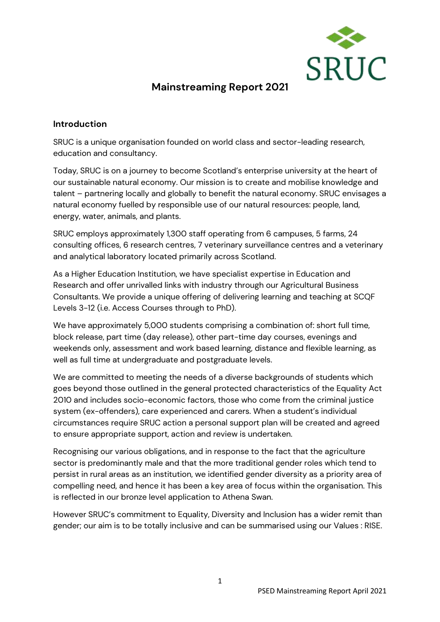

# **Mainstreaming Report 2021**

#### **Introduction**

SRUC is a unique organisation founded on world class and sector-leading research, education and consultancy.

Today, SRUC is on a journey to become Scotland's enterprise university at the heart of our sustainable natural economy. Our mission is to create and mobilise knowledge and talent – partnering locally and globally to benefit the natural economy. SRUC envisages a natural economy fuelled by responsible use of our natural resources: people, land, energy, water, animals, and plants.

SRUC employs approximately 1,300 staff operating from 6 campuses, 5 farms, 24 consulting offices, 6 research centres, 7 veterinary surveillance centres and a veterinary and analytical laboratory located primarily across Scotland.

As a Higher Education Institution, we have specialist expertise in Education and Research and offer unrivalled links with industry through our Agricultural Business Consultants. We provide a unique offering of delivering learning and teaching at SCQF Levels 3-12 (i.e. Access Courses through to PhD).

We have approximately 5,000 students comprising a combination of: short full time, block release, part time (day release), other part-time day courses, evenings and weekends only, assessment and work based learning, distance and flexible learning, as well as full time at undergraduate and postgraduate levels.

We are committed to meeting the needs of a diverse backgrounds of students which goes beyond those outlined in the general protected characteristics of the Equality Act 2010 and includes socio-economic factors, those who come from the criminal justice system (ex-offenders), care experienced and carers. When a student's individual circumstances require SRUC action a personal support plan will be created and agreed to ensure appropriate support, action and review is undertaken.

Recognising our various obligations, and in response to the fact that the agriculture sector is predominantly male and that the more traditional gender roles which tend to persist in rural areas as an institution, we identified gender diversity as a priority area of compelling need, and hence it has been a key area of focus within the organisation. This is reflected in our bronze level application to Athena Swan.

However SRUC's commitment to Equality, Diversity and Inclusion has a wider remit than gender; our aim is to be totally inclusive and can be summarised using our Values : RISE.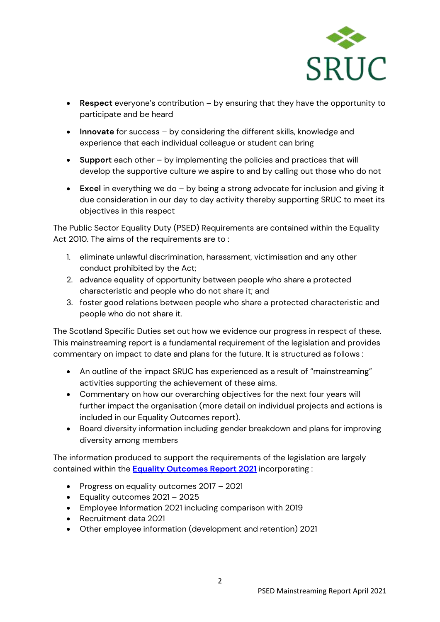

- **Respect** everyone's contribution by ensuring that they have the opportunity to participate and be heard
- **Innovate** for success by considering the different skills, knowledge and experience that each individual colleague or student can bring
- **Support** each other by implementing the policies and practices that will develop the supportive culture we aspire to and by calling out those who do not
- **Excel** in everything we do by being a strong advocate for inclusion and giving it due consideration in our day to day activity thereby supporting SRUC to meet its objectives in this respect

The Public Sector Equality Duty (PSED) Requirements are contained within the Equality Act 2010. The aims of the requirements are to :

- 1. eliminate unlawful discrimination, harassment, victimisation and any other conduct prohibited by the Act;
- 2. advance equality of opportunity between people who share a protected characteristic and people who do not share it; and
- 3. foster good relations between people who share a protected characteristic and people who do not share it.

The Scotland Specific Duties set out how we evidence our progress in respect of these. This mainstreaming report is a fundamental requirement of the legislation and provides commentary on impact to date and plans for the future. It is structured as follows :

- An outline of the impact SRUC has experienced as a result of "mainstreaming" activities supporting the achievement of these aims.
- Commentary on how our overarching objectives for the next four years will further impact the organisation (more detail on individual projects and actions is included in our Equality Outcomes report).
- Board diversity information including gender breakdown and plans for improving diversity among members

The information produced to support the requirements of the legislation are largely contained within the **[Equality Outcomes Report](https://ww1.sruc.ac.uk/media/2d4f2elp/psed-equality-outcomes-report-2021.pdf) 2021** incorporating :

- Progress on equality outcomes 2017 2021
- Equality outcomes 2021 2025
- Employee Information 2021 including comparison with 2019
- Recruitment data 2021
- Other employee information (development and retention) 2021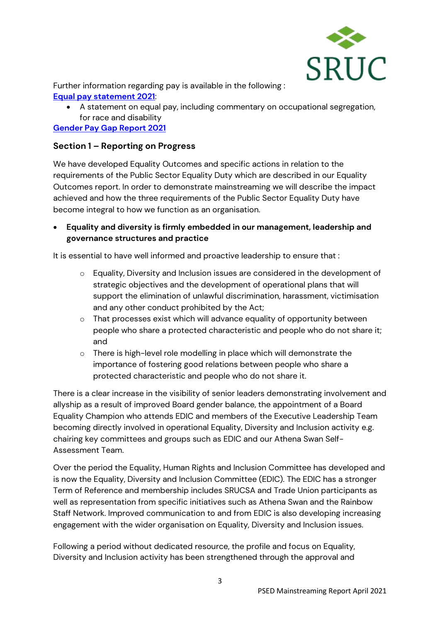

Further information regarding pay is available in the following : **[Equal pay statement 2021](https://ww1.sruc.ac.uk/media/5gcfoif5/psed-equal-pay-statement-2021.pdf)**:

• A statement on equal pay, including commentary on occupational segregation, for race and disability

**[Gender Pay Gap Report 2021](https://ww1.sruc.ac.uk/media/lukgdnwb/psed-pay-gap-report-2021.pdf)**

#### **Section 1 – Reporting on Progress**

We have developed Equality Outcomes and specific actions in relation to the requirements of the Public Sector Equality Duty which are described in our Equality Outcomes report. In order to demonstrate mainstreaming we will describe the impact achieved and how the three requirements of the Public Sector Equality Duty have become integral to how we function as an organisation.

• **Equality and diversity is firmly embedded in our management, leadership and governance structures and practice** 

It is essential to have well informed and proactive leadership to ensure that :

- o Equality, Diversity and Inclusion issues are considered in the development of strategic objectives and the development of operational plans that will support the elimination of unlawful discrimination, harassment, victimisation and any other conduct prohibited by the Act;
- o That processes exist which will advance equality of opportunity between people who share a protected characteristic and people who do not share it; and
- o There is high-level role modelling in place which will demonstrate the importance of fostering good relations between people who share a protected characteristic and people who do not share it.

There is a clear increase in the visibility of senior leaders demonstrating involvement and allyship as a result of improved Board gender balance, the appointment of a Board Equality Champion who attends EDIC and members of the Executive Leadership Team becoming directly involved in operational Equality, Diversity and Inclusion activity e.g. chairing key committees and groups such as EDIC and our Athena Swan Self-Assessment Team.

Over the period the Equality, Human Rights and Inclusion Committee has developed and is now the Equality, Diversity and Inclusion Committee (EDIC). The EDIC has a stronger Term of Reference and membership includes SRUCSA and Trade Union participants as well as representation from specific initiatives such as Athena Swan and the Rainbow Staff Network. Improved communication to and from EDIC is also developing increasing engagement with the wider organisation on Equality, Diversity and Inclusion issues.

Following a period without dedicated resource, the profile and focus on Equality, Diversity and Inclusion activity has been strengthened through the approval and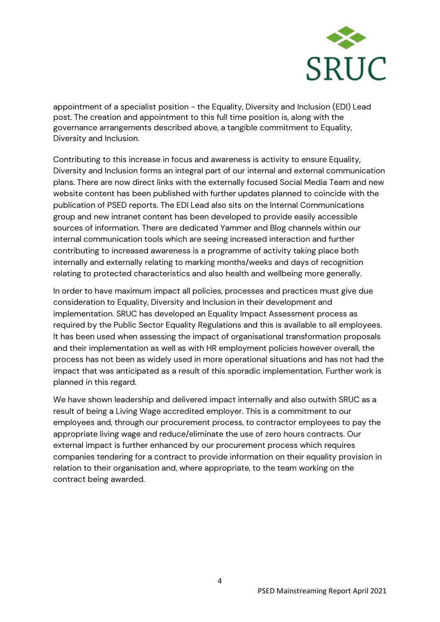

appointment of a specialist position - the Equality, Diversity and Inclusion (EDI) Lead post. The creation and appointment to this full time position is, along with the governance arrangements described above, a tangible commitment to Equality, Diversity and Inclusion.

Contributing to this increase in focus and awareness is activity to ensure Equality, Diversity and Inclusion forms an integral part of our internal and external communication plans. There are now direct links with the externally focused Social Media Team and new website content has been published with further updates planned to coincide with the publication of PSED reports. The EDI Lead also sits on the Internal Communications group and new intranet content has been developed to provide easily accessible sources of information. There are dedicated Yammer and Blog channels within our internal communication tools which are seeing increased interaction and further contributing to increased awareness is a programme of activity taking place both internally and externally relating to marking months/weeks and days of recognition relating to protected characteristics and also health and wellbeing more generally.

In order to have maximum impact all policies, processes and practices must give due consideration to Equality, Diversity and Inclusion in their development and implementation. SRUC has developed an Equality Impact Assessment process as required by the Public Sector Equality Regulations and this is available to all employees. It has been used when assessing the impact of organisational transformation proposals and their implementation as well as with HR employment policies however overall, the process has not been as widely used in more operational situations and has not had the impact that was anticipated as a result of this sporadic implementation. Further work is planned in this regard.

We have shown leadership and delivered impact internally and also outwith SRUC as a result of being a Living Wage accredited employer. This is a commitment to our employees and, through our procurement process, to contractor employees to pay the appropriate living wage and reduce/eliminate the use of zero hours contracts. Our external impact is further enhanced by our procurement process which requires companies tendering for a contract to provide information on their equality provision in relation to their organisation and, where appropriate, to the team working on the contract being awarded.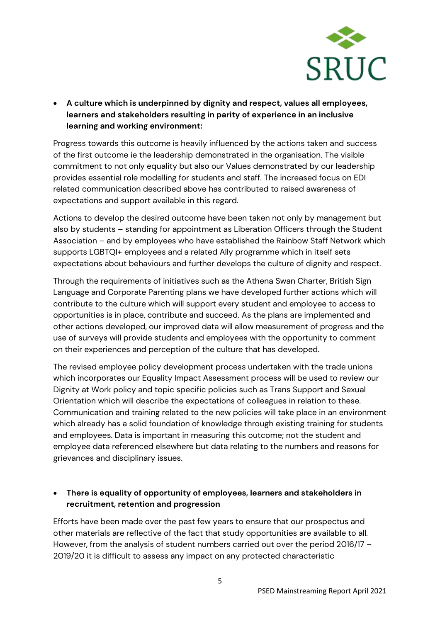

• **A culture which is underpinned by dignity and respect, values all employees, learners and stakeholders resulting in parity of experience in an inclusive learning and working environment:**

Progress towards this outcome is heavily influenced by the actions taken and success of the first outcome ie the leadership demonstrated in the organisation. The visible commitment to not only equality but also our Values demonstrated by our leadership provides essential role modelling for students and staff. The increased focus on EDI related communication described above has contributed to raised awareness of expectations and support available in this regard.

Actions to develop the desired outcome have been taken not only by management but also by students – standing for appointment as Liberation Officers through the Student Association – and by employees who have established the Rainbow Staff Network which supports LGBTQI+ employees and a related Ally programme which in itself sets expectations about behaviours and further develops the culture of dignity and respect.

Through the requirements of initiatives such as the Athena Swan Charter, British Sign Language and Corporate Parenting plans we have developed further actions which will contribute to the culture which will support every student and employee to access to opportunities is in place, contribute and succeed. As the plans are implemented and other actions developed, our improved data will allow measurement of progress and the use of surveys will provide students and employees with the opportunity to comment on their experiences and perception of the culture that has developed.

The revised employee policy development process undertaken with the trade unions which incorporates our Equality Impact Assessment process will be used to review our Dignity at Work policy and topic specific policies such as Trans Support and Sexual Orientation which will describe the expectations of colleagues in relation to these. Communication and training related to the new policies will take place in an environment which already has a solid foundation of knowledge through existing training for students and employees. Data is important in measuring this outcome; not the student and employee data referenced elsewhere but data relating to the numbers and reasons for grievances and disciplinary issues.

#### • **There is equality of opportunity of employees, learners and stakeholders in recruitment, retention and progression**

Efforts have been made over the past few years to ensure that our prospectus and other materials are reflective of the fact that study opportunities are available to all. However, from the analysis of student numbers carried out over the period 2016/17 – 2019/20 it is difficult to assess any impact on any protected characteristic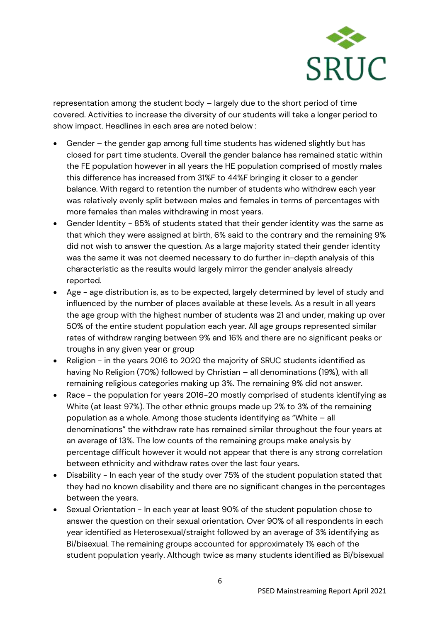

representation among the student body – largely due to the short period of time covered. Activities to increase the diversity of our students will take a longer period to show impact. Headlines in each area are noted below :

- Gender the gender gap among full time students has widened slightly but has closed for part time students. Overall the gender balance has remained static within the FE population however in all years the HE population comprised of mostly males this difference has increased from 31%F to 44%F bringing it closer to a gender balance. With regard to retention the number of students who withdrew each year was relatively evenly split between males and females in terms of percentages with more females than males withdrawing in most years.
- Gender Identity 85% of students stated that their gender identity was the same as that which they were assigned at birth, 6% said to the contrary and the remaining 9% did not wish to answer the question. As a large majority stated their gender identity was the same it was not deemed necessary to do further in-depth analysis of this characteristic as the results would largely mirror the gender analysis already reported.
- Age age distribution is, as to be expected, largely determined by level of study and influenced by the number of places available at these levels. As a result in all years the age group with the highest number of students was 21 and under, making up over 50% of the entire student population each year. All age groups represented similar rates of withdraw ranging between 9% and 16% and there are no significant peaks or troughs in any given year or group
- Religion in the years 2016 to 2020 the majority of SRUC students identified as having No Religion (70%) followed by Christian – all denominations (19%), with all remaining religious categories making up 3%. The remaining 9% did not answer.
- Race the population for years 2016-20 mostly comprised of students identifying as White (at least 97%). The other ethnic groups made up 2% to 3% of the remaining population as a whole. Among those students identifying as "White – all denominations" the withdraw rate has remained similar throughout the four years at an average of 13%. The low counts of the remaining groups make analysis by percentage difficult however it would not appear that there is any strong correlation between ethnicity and withdraw rates over the last four years.
- Disability In each year of the study over 75% of the student population stated that they had no known disability and there are no significant changes in the percentages between the years.
- Sexual Orientation In each year at least 90% of the student population chose to answer the question on their sexual orientation. Over 90% of all respondents in each year identified as Heterosexual/straight followed by an average of 3% identifying as Bi/bisexual. The remaining groups accounted for approximately 1% each of the student population yearly. Although twice as many students identified as Bi/bisexual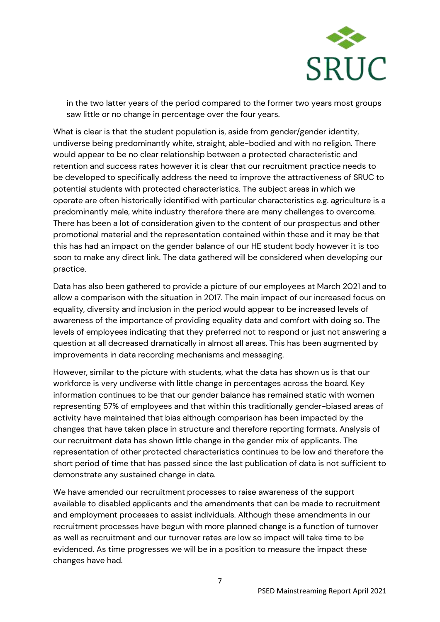

in the two latter years of the period compared to the former two years most groups saw little or no change in percentage over the four years.

What is clear is that the student population is, aside from gender/gender identity, undiverse being predominantly white, straight, able-bodied and with no religion. There would appear to be no clear relationship between a protected characteristic and retention and success rates however it is clear that our recruitment practice needs to be developed to specifically address the need to improve the attractiveness of SRUC to potential students with protected characteristics. The subject areas in which we operate are often historically identified with particular characteristics e.g. agriculture is a predominantly male, white industry therefore there are many challenges to overcome. There has been a lot of consideration given to the content of our prospectus and other promotional material and the representation contained within these and it may be that this has had an impact on the gender balance of our HE student body however it is too soon to make any direct link. The data gathered will be considered when developing our practice.

Data has also been gathered to provide a picture of our employees at March 2021 and to allow a comparison with the situation in 2017. The main impact of our increased focus on equality, diversity and inclusion in the period would appear to be increased levels of awareness of the importance of providing equality data and comfort with doing so. The levels of employees indicating that they preferred not to respond or just not answering a question at all decreased dramatically in almost all areas. This has been augmented by improvements in data recording mechanisms and messaging.

However, similar to the picture with students, what the data has shown us is that our workforce is very undiverse with little change in percentages across the board. Key information continues to be that our gender balance has remained static with women representing 57% of employees and that within this traditionally gender-biased areas of activity have maintained that bias although comparison has been impacted by the changes that have taken place in structure and therefore reporting formats. Analysis of our recruitment data has shown little change in the gender mix of applicants. The representation of other protected characteristics continues to be low and therefore the short period of time that has passed since the last publication of data is not sufficient to demonstrate any sustained change in data.

We have amended our recruitment processes to raise awareness of the support available to disabled applicants and the amendments that can be made to recruitment and employment processes to assist individuals. Although these amendments in our recruitment processes have begun with more planned change is a function of turnover as well as recruitment and our turnover rates are low so impact will take time to be evidenced. As time progresses we will be in a position to measure the impact these changes have had.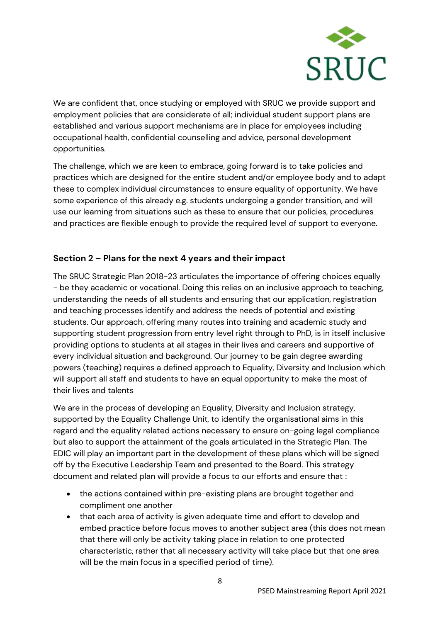

We are confident that, once studying or employed with SRUC we provide support and employment policies that are considerate of all; individual student support plans are established and various support mechanisms are in place for employees including occupational health, confidential counselling and advice, personal development opportunities.

The challenge, which we are keen to embrace, going forward is to take policies and practices which are designed for the entire student and/or employee body and to adapt these to complex individual circumstances to ensure equality of opportunity. We have some experience of this already e.g. students undergoing a gender transition, and will use our learning from situations such as these to ensure that our policies, procedures and practices are flexible enough to provide the required level of support to everyone.

## **Section 2 – Plans for the next 4 years and their impact**

The SRUC Strategic Plan 2018-23 articulates the importance of offering choices equally - be they academic or vocational. Doing this relies on an inclusive approach to teaching, understanding the needs of all students and ensuring that our application, registration and teaching processes identify and address the needs of potential and existing students. Our approach, offering many routes into training and academic study and supporting student progression from entry level right through to PhD, is in itself inclusive providing options to students at all stages in their lives and careers and supportive of every individual situation and background. Our journey to be gain degree awarding powers (teaching) requires a defined approach to Equality, Diversity and Inclusion which will support all staff and students to have an equal opportunity to make the most of their lives and talents

We are in the process of developing an Equality, Diversity and Inclusion strategy, supported by the Equality Challenge Unit, to identify the organisational aims in this regard and the equality related actions necessary to ensure on-going legal compliance but also to support the attainment of the goals articulated in the Strategic Plan. The EDIC will play an important part in the development of these plans which will be signed off by the Executive Leadership Team and presented to the Board. This strategy document and related plan will provide a focus to our efforts and ensure that :

- the actions contained within pre-existing plans are brought together and compliment one another
- that each area of activity is given adequate time and effort to develop and embed practice before focus moves to another subject area (this does not mean that there will only be activity taking place in relation to one protected characteristic, rather that all necessary activity will take place but that one area will be the main focus in a specified period of time).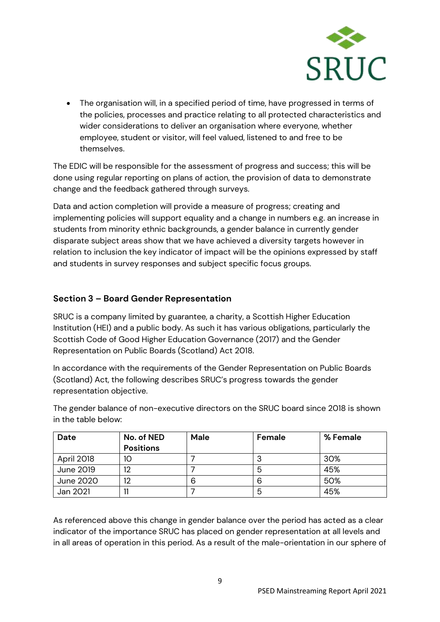

• The organisation will, in a specified period of time, have progressed in terms of the policies, processes and practice relating to all protected characteristics and wider considerations to deliver an organisation where everyone, whether employee, student or visitor, will feel valued, listened to and free to be themselves.

The EDIC will be responsible for the assessment of progress and success; this will be done using regular reporting on plans of action, the provision of data to demonstrate change and the feedback gathered through surveys.

Data and action completion will provide a measure of progress; creating and implementing policies will support equality and a change in numbers e.g. an increase in students from minority ethnic backgrounds, a gender balance in currently gender disparate subject areas show that we have achieved a diversity targets however in relation to inclusion the key indicator of impact will be the opinions expressed by staff and students in survey responses and subject specific focus groups.

### **Section 3 – Board Gender Representation**

SRUC is a company limited by guarantee, a charity, a Scottish Higher Education Institution (HEI) and a public body. As such it has various obligations, particularly the Scottish Code of Good Higher Education Governance (2017) and the Gender Representation on Public Boards (Scotland) Act 2018.

In accordance with the requirements of the Gender Representation on Public Boards (Scotland) Act, the following describes SRUC's progress towards the gender representation objective.

The gender balance of non-executive directors on the SRUC board since 2018 is shown in the table below:

| Date       | No. of NED       | <b>Male</b> | Female | % Female |
|------------|------------------|-------------|--------|----------|
|            | <b>Positions</b> |             |        |          |
| April 2018 | 10               |             | J      | 30%      |
| June 2019  | 12               |             | ხ      | 45%      |
| June 2020  | 12               | 6           | 6      | 50%      |
| Jan 2021   |                  |             | 5      | 45%      |

As referenced above this change in gender balance over the period has acted as a clear indicator of the importance SRUC has placed on gender representation at all levels and in all areas of operation in this period. As a result of the male-orientation in our sphere of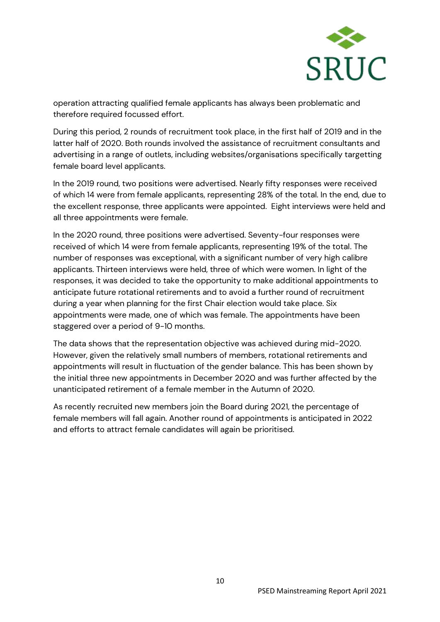

operation attracting qualified female applicants has always been problematic and therefore required focussed effort.

During this period, 2 rounds of recruitment took place, in the first half of 2019 and in the latter half of 2020. Both rounds involved the assistance of recruitment consultants and advertising in a range of outlets, including websites/organisations specifically targetting female board level applicants.

In the 2019 round, two positions were advertised. Nearly fifty responses were received of which 14 were from female applicants, representing 28% of the total. In the end, due to the excellent response, three applicants were appointed. Eight interviews were held and all three appointments were female.

In the 2020 round, three positions were advertised. Seventy-four responses were received of which 14 were from female applicants, representing 19% of the total. The number of responses was exceptional, with a significant number of very high calibre applicants. Thirteen interviews were held, three of which were women. In light of the responses, it was decided to take the opportunity to make additional appointments to anticipate future rotational retirements and to avoid a further round of recruitment during a year when planning for the first Chair election would take place. Six appointments were made, one of which was female. The appointments have been staggered over a period of 9-10 months.

The data shows that the representation objective was achieved during mid-2020. However, given the relatively small numbers of members, rotational retirements and appointments will result in fluctuation of the gender balance. This has been shown by the initial three new appointments in December 2020 and was further affected by the unanticipated retirement of a female member in the Autumn of 2020.

As recently recruited new members join the Board during 2021, the percentage of female members will fall again. Another round of appointments is anticipated in 2022 and efforts to attract female candidates will again be prioritised.